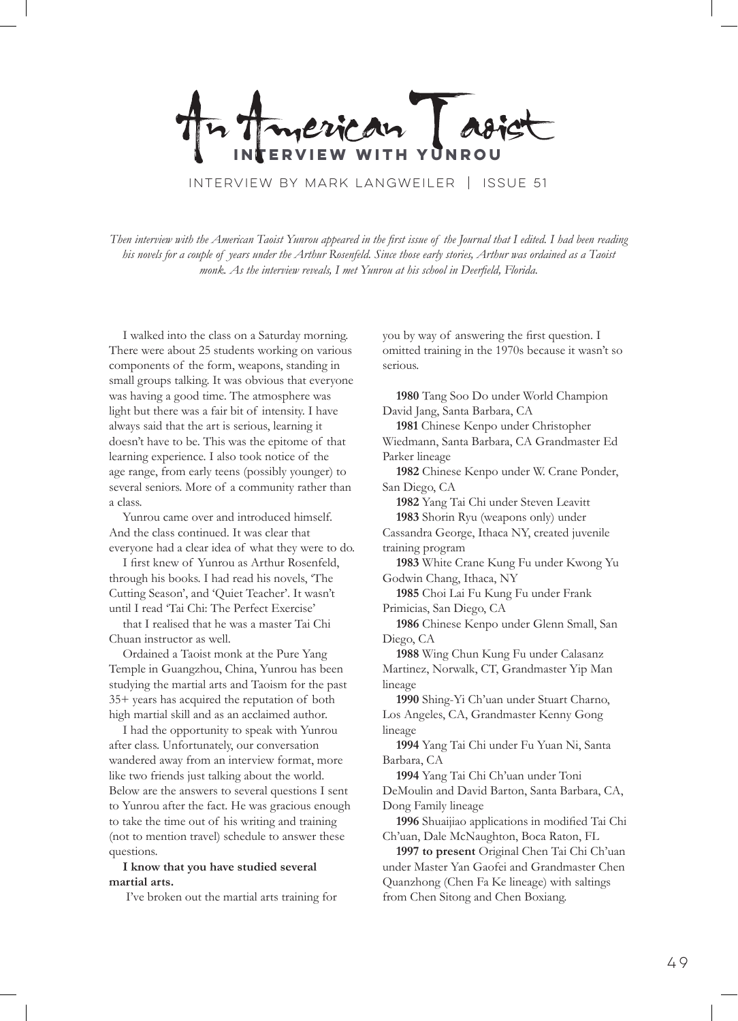erican **WITH** 

Interview by mark langweiler | Issue 51

*Then interview with the American Taoist Yunrou appeared in the first issue of the Journal that I edited. I had been reading his novels for a couple of years under the Arthur Rosenfeld. Since those early stories, Arthur was ordained as a Taoist monk. As the interview reveals, I met Yunrou at his school in Deerfield, Florida.*

I walked into the class on a Saturday morning. There were about 25 students working on various components of the form, weapons, standing in small groups talking. It was obvious that everyone was having a good time. The atmosphere was light but there was a fair bit of intensity. I have always said that the art is serious, learning it doesn't have to be. This was the epitome of that learning experience. I also took notice of the age range, from early teens (possibly younger) to several seniors. More of a community rather than a class.

Yunrou came over and introduced himself. And the class continued. It was clear that everyone had a clear idea of what they were to do.

I first knew of Yunrou as Arthur Rosenfeld, through his books. I had read his novels, 'The Cutting Season', and 'Quiet Teacher'. It wasn't until I read 'Tai Chi: The Perfect Exercise'

that I realised that he was a master Tai Chi Chuan instructor as well.

Ordained a Taoist monk at the Pure Yang Temple in Guangzhou, China, Yunrou has been studying the martial arts and Taoism for the past 35+ years has acquired the reputation of both high martial skill and as an acclaimed author.

I had the opportunity to speak with Yunrou after class. Unfortunately, our conversation wandered away from an interview format, more like two friends just talking about the world. Below are the answers to several questions I sent to Yunrou after the fact. He was gracious enough to take the time out of his writing and training (not to mention travel) schedule to answer these questions.

**I know that you have studied several martial arts.**

I've broken out the martial arts training for

you by way of answering the first question. I omitted training in the 1970s because it wasn't so serious.

**1980** Tang Soo Do under World Champion David Jang, Santa Barbara, CA **1981** Chinese Kenpo under Christopher Wiedmann, Santa Barbara, CA Grandmaster Ed Parker lineage **1982** Chinese Kenpo under W. Crane Ponder, San Diego, CA **1982** Yang Tai Chi under Steven Leavitt **1983** Shorin Ryu (weapons only) under Cassandra George, Ithaca NY, created juvenile training program **1983** White Crane Kung Fu under Kwong Yu Godwin Chang, Ithaca, NY **1985** Choi Lai Fu Kung Fu under Frank Primicias, San Diego, CA **1986** Chinese Kenpo under Glenn Small, San Diego, CA **1988** Wing Chun Kung Fu under Calasanz Martinez, Norwalk, CT, Grandmaster Yip Man lineage **1990** Shing-Yi Ch'uan under Stuart Charno, Los Angeles, CA, Grandmaster Kenny Gong lineage **1994** Yang Tai Chi under Fu Yuan Ni, Santa Barbara, CA **1994** Yang Tai Chi Ch'uan under Toni DeMoulin and David Barton, Santa Barbara, CA, Dong Family lineage **1996** Shuaijiao applications in modified Tai Chi Ch'uan, Dale McNaughton, Boca Raton, FL **1997 to present** Original Chen Tai Chi Ch'uan under Master Yan Gaofei and Grandmaster Chen

Quanzhong (Chen Fa Ke lineage) with saltings

from Chen Sitong and Chen Boxiang.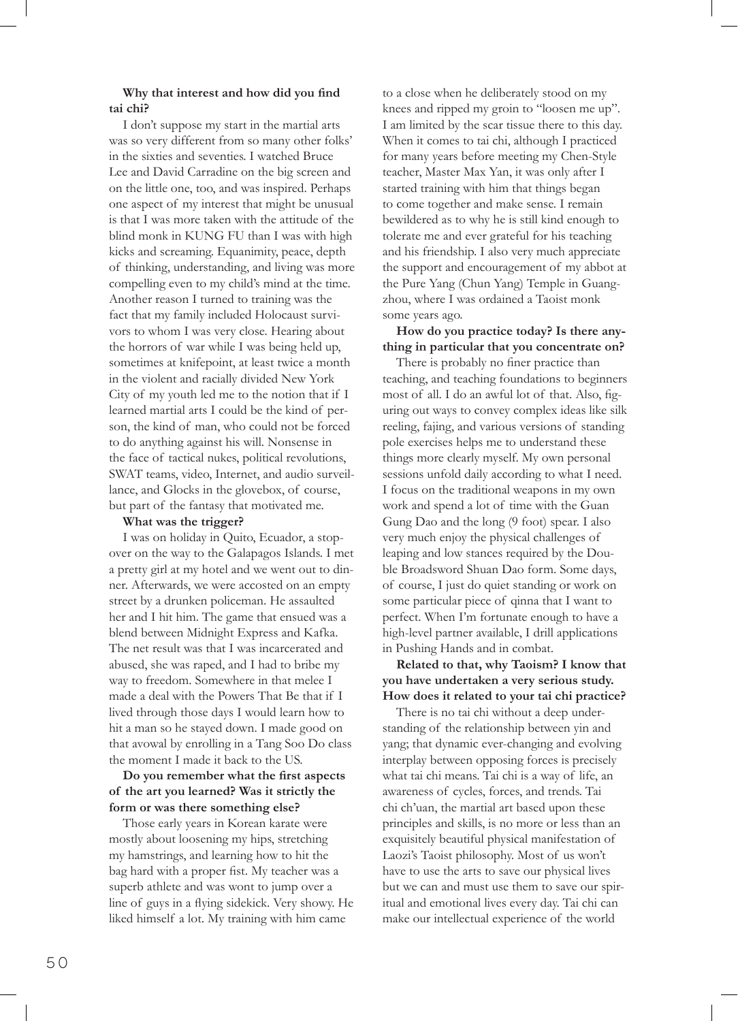## **Why that interest and how did you find tai chi?**

I don't suppose my start in the martial arts was so very different from so many other folks' in the sixties and seventies. I watched Bruce Lee and David Carradine on the big screen and on the little one, too, and was inspired. Perhaps one aspect of my interest that might be unusual is that I was more taken with the attitude of the blind monk in KUNG FU than I was with high kicks and screaming. Equanimity, peace, depth of thinking, understanding, and living was more compelling even to my child's mind at the time. Another reason I turned to training was the fact that my family included Holocaust survivors to whom I was very close. Hearing about the horrors of war while I was being held up, sometimes at knifepoint, at least twice a month in the violent and racially divided New York City of my youth led me to the notion that if I learned martial arts I could be the kind of person, the kind of man, who could not be forced to do anything against his will. Nonsense in the face of tactical nukes, political revolutions, SWAT teams, video, Internet, and audio surveillance, and Glocks in the glovebox, of course, but part of the fantasy that motivated me.

### **What was the trigger?**

I was on holiday in Quito, Ecuador, a stopover on the way to the Galapagos Islands. I met a pretty girl at my hotel and we went out to dinner. Afterwards, we were accosted on an empty street by a drunken policeman. He assaulted her and I hit him. The game that ensued was a blend between Midnight Express and Kafka. The net result was that I was incarcerated and abused, she was raped, and I had to bribe my way to freedom. Somewhere in that melee I made a deal with the Powers That Be that if I lived through those days I would learn how to hit a man so he stayed down. I made good on that avowal by enrolling in a Tang Soo Do class the moment I made it back to the US.

## **Do you remember what the first aspects of the art you learned? Was it strictly the form or was there something else?**

Those early years in Korean karate were mostly about loosening my hips, stretching my hamstrings, and learning how to hit the bag hard with a proper fist. My teacher was a superb athlete and was wont to jump over a line of guys in a flying sidekick. Very showy. He liked himself a lot. My training with him came

to a close when he deliberately stood on my knees and ripped my groin to "loosen me up". I am limited by the scar tissue there to this day. When it comes to tai chi, although I practiced for many years before meeting my Chen-Style teacher, Master Max Yan, it was only after I started training with him that things began to come together and make sense. I remain bewildered as to why he is still kind enough to tolerate me and ever grateful for his teaching and his friendship. I also very much appreciate the support and encouragement of my abbot at the Pure Yang (Chun Yang) Temple in Guangzhou, where I was ordained a Taoist monk some years ago.

## **How do you practice today? Is there anything in particular that you concentrate on?**

There is probably no finer practice than teaching, and teaching foundations to beginners most of all. I do an awful lot of that. Also, figuring out ways to convey complex ideas like silk reeling, fajing, and various versions of standing pole exercises helps me to understand these things more clearly myself. My own personal sessions unfold daily according to what I need. I focus on the traditional weapons in my own work and spend a lot of time with the Guan Gung Dao and the long (9 foot) spear. I also very much enjoy the physical challenges of leaping and low stances required by the Double Broadsword Shuan Dao form. Some days, of course, I just do quiet standing or work on some particular piece of qinna that I want to perfect. When I'm fortunate enough to have a high-level partner available, I drill applications in Pushing Hands and in combat.

# **Related to that, why Taoism? I know that you have undertaken a very serious study. How does it related to your tai chi practice?**

There is no tai chi without a deep understanding of the relationship between yin and yang; that dynamic ever-changing and evolving interplay between opposing forces is precisely what tai chi means. Tai chi is a way of life, an awareness of cycles, forces, and trends. Tai chi ch'uan, the martial art based upon these principles and skills, is no more or less than an exquisitely beautiful physical manifestation of Laozi's Taoist philosophy. Most of us won't have to use the arts to save our physical lives but we can and must use them to save our spiritual and emotional lives every day. Tai chi can make our intellectual experience of the world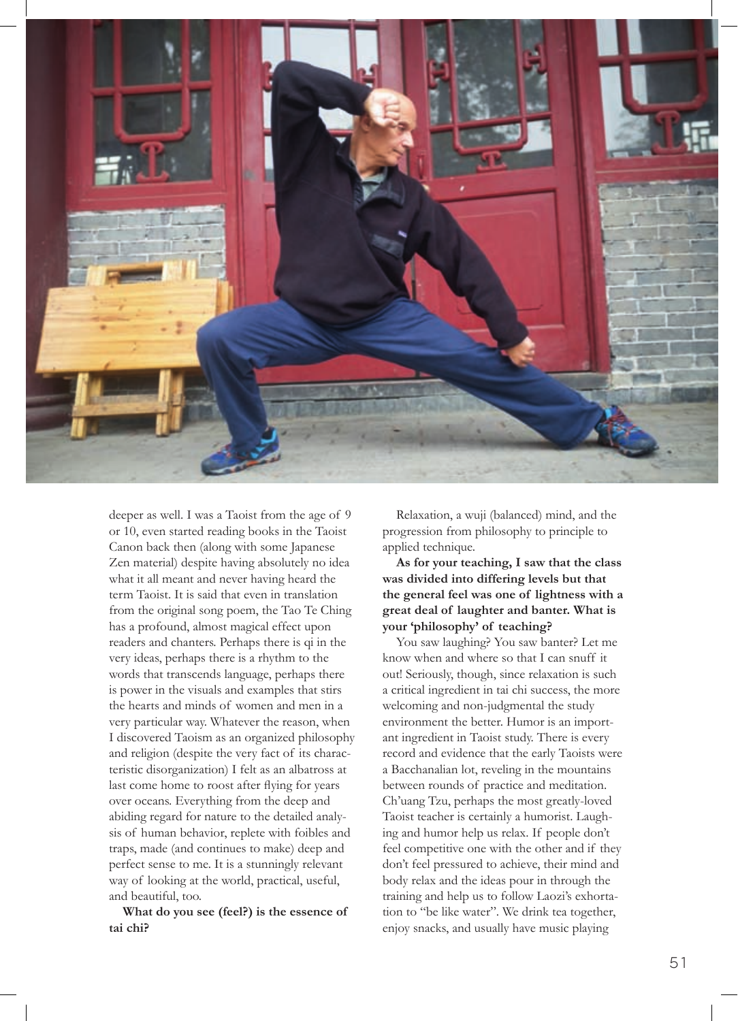

deeper as well. I was a Taoist from the age of 9 or 10, even started reading books in the Taoist Canon back then (along with some Japanese Zen material) despite having absolutely no idea what it all meant and never having heard the term Taoist. It is said that even in translation from the original song poem, the Tao Te Ching has a profound, almost magical effect upon readers and chanters. Perhaps there is qi in the very ideas, perhaps there is a rhythm to the words that transcends language, perhaps there is power in the visuals and examples that stirs the hearts and minds of women and men in a very particular way. Whatever the reason, when I discovered Taoism as an organized philosophy and religion (despite the very fact of its characteristic disorganization) I felt as an albatross at last come home to roost after flying for years over oceans. Everything from the deep and abiding regard for nature to the detailed analysis of human behavior, replete with foibles and traps, made (and continues to make) deep and perfect sense to me. It is a stunningly relevant way of looking at the world, practical, useful, and beautiful, too.

**What do you see (feel?) is the essence of tai chi?**

Relaxation, a wuji (balanced) mind, and the progression from philosophy to principle to applied technique.

**As for your teaching, I saw that the class was divided into differing levels but that the general feel was one of lightness with a great deal of laughter and banter. What is your 'philosophy' of teaching?**

You saw laughing? You saw banter? Let me know when and where so that I can snuff it out! Seriously, though, since relaxation is such a critical ingredient in tai chi success, the more welcoming and non-judgmental the study environment the better. Humor is an important ingredient in Taoist study. There is every record and evidence that the early Taoists were a Bacchanalian lot, reveling in the mountains between rounds of practice and meditation. Ch'uang Tzu, perhaps the most greatly-loved Taoist teacher is certainly a humorist. Laughing and humor help us relax. If people don't feel competitive one with the other and if they don't feel pressured to achieve, their mind and body relax and the ideas pour in through the training and help us to follow Laozi's exhortation to "be like water". We drink tea together, enjoy snacks, and usually have music playing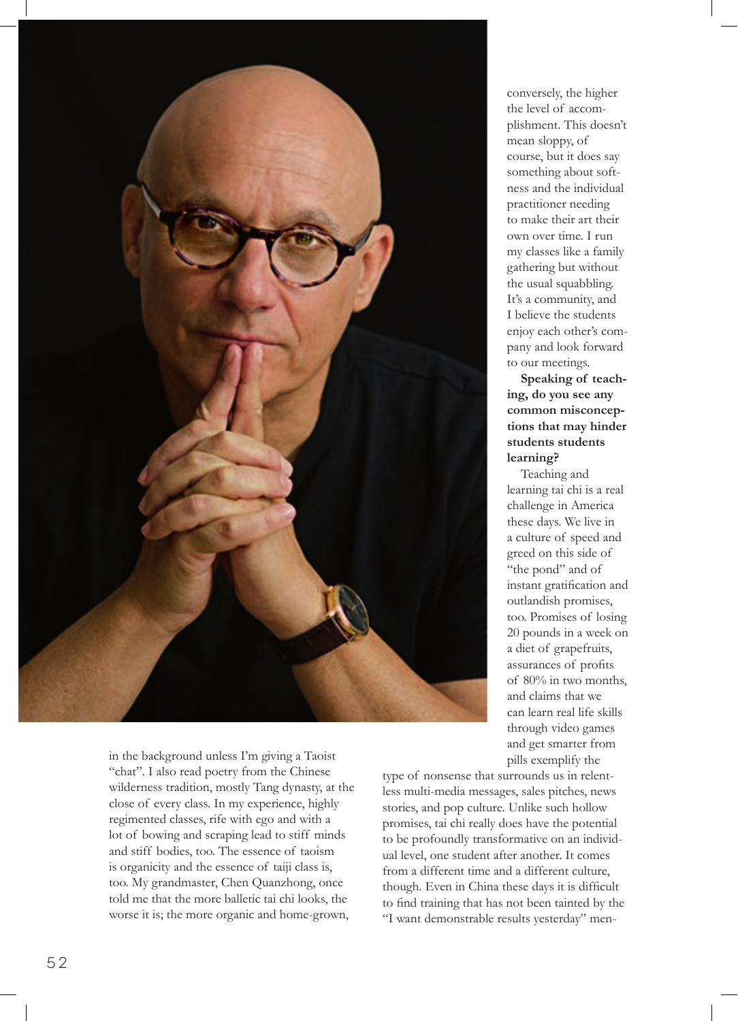

in the background unless I'm giving a Taoist "chat". I also read poetry from the Chinese wilderness tradition, mostly Tang dynasty, at the close of every class. In my experience, highly regimented classes, rife with ego and with a lot of bowing and scraping lead to stiff minds and stiff bodies, too. The essence of taoism is organicity and the essence of taiji class is, too. My grandmaster, Chen Quanzhong, once told me that the more balletic tai chi looks, the worse it is; the more organic and home-grown,

conversely, the higher the level of accomplishment. This doesn't mean sloppy, of course, but it does say something about softness and the individual practitioner needing to make their art their own over time. I run my classes like a family gathering but without the usual squabbling. It's a community, and I believe the students enjoy each other's company and look forward to our meetings.

**Speaking of teaching, do you see any common misconceptions that may hinder students students learning?**

Teaching and learning tai chi is a real challenge in America these days. We live in a culture of speed and greed on this side of "the pond" and of instant gratification and outlandish promises, too. Promises of losing 20 pounds in a week on a diet of grapefruits, assurances of profits of 80% in two months, and claims that we can learn real life skills through video games and get smarter from pills exemplify the

type of nonsense that surrounds us in relentless multi-media messages, sales pitches, news stories, and pop culture. Unlike such hollow promises, tai chi really does have the potential to be profoundly transformative on an individual level, one student after another. It comes from a different time and a different culture, though. Even in China these days it is difficult to find training that has not been tainted by the "I want demonstrable results yesterday" men-